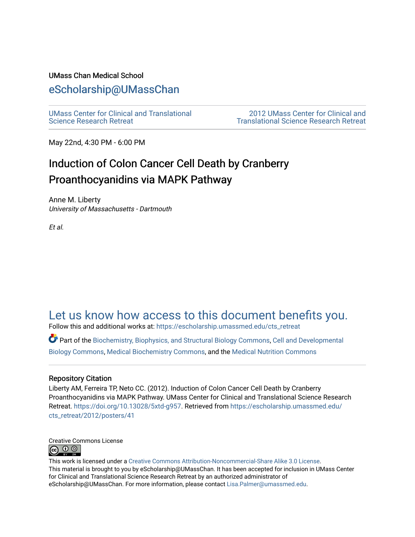### UMass Chan Medical School

### [eScholarship@UMassChan](https://escholarship.umassmed.edu/)

[UMass Center for Clinical and Translational](https://escholarship.umassmed.edu/cts_retreat)  [Science Research Retreat](https://escholarship.umassmed.edu/cts_retreat) 

[2012 UMass Center for Clinical and](https://escholarship.umassmed.edu/cts_retreat/2012)  [Translational Science Research Retreat](https://escholarship.umassmed.edu/cts_retreat/2012) 

May 22nd, 4:30 PM - 6:00 PM

# Induction of Colon Cancer Cell Death by Cranberry Proanthocy anidins via MAPK Pathway

Anne M. Liberty University of Massachusetts - Dartmouth

Et al.

## [Let us know how access to this document benefits you.](https://arcsapps.umassmed.edu/redcap/surveys/?s=XWRHNF9EJE)

Follow this and additional works at: [https://escholarship.umassmed.edu/cts\\_retreat](https://escholarship.umassmed.edu/cts_retreat?utm_source=escholarship.umassmed.edu%2Fcts_retreat%2F2012%2Fposters%2F41&utm_medium=PDF&utm_campaign=PDFCoverPages) 

Part of the [Biochemistry, Biophysics, and Structural Biology Commons](http://network.bepress.com/hgg/discipline/1?utm_source=escholarship.umassmed.edu%2Fcts_retreat%2F2012%2Fposters%2F41&utm_medium=PDF&utm_campaign=PDFCoverPages), [Cell and Developmental](http://network.bepress.com/hgg/discipline/8?utm_source=escholarship.umassmed.edu%2Fcts_retreat%2F2012%2Fposters%2F41&utm_medium=PDF&utm_campaign=PDFCoverPages) [Biology Commons](http://network.bepress.com/hgg/discipline/8?utm_source=escholarship.umassmed.edu%2Fcts_retreat%2F2012%2Fposters%2F41&utm_medium=PDF&utm_campaign=PDFCoverPages), [Medical Biochemistry Commons](http://network.bepress.com/hgg/discipline/666?utm_source=escholarship.umassmed.edu%2Fcts_retreat%2F2012%2Fposters%2F41&utm_medium=PDF&utm_campaign=PDFCoverPages), and the [Medical Nutrition Commons](http://network.bepress.com/hgg/discipline/675?utm_source=escholarship.umassmed.edu%2Fcts_retreat%2F2012%2Fposters%2F41&utm_medium=PDF&utm_campaign=PDFCoverPages)

#### Repository Citation

Liberty AM, Ferreira TP, Neto CC. (2012). Induction of Colon Cancer Cell Death by Cranberry Proanthocyanidins via MAPK Pathway. UMass Center for Clinical and Translational Science Research Retreat.<https://doi.org/10.13028/5xtd-g957>. Retrieved from [https://escholarship.umassmed.edu/](https://escholarship.umassmed.edu/cts_retreat/2012/posters/41?utm_source=escholarship.umassmed.edu%2Fcts_retreat%2F2012%2Fposters%2F41&utm_medium=PDF&utm_campaign=PDFCoverPages) [cts\\_retreat/2012/posters/41](https://escholarship.umassmed.edu/cts_retreat/2012/posters/41?utm_source=escholarship.umassmed.edu%2Fcts_retreat%2F2012%2Fposters%2F41&utm_medium=PDF&utm_campaign=PDFCoverPages) 

Creative Commons License ெ 0 ©

This work is licensed under a [Creative Commons Attribution-Noncommercial-Share Alike 3.0 License.](http://creativecommons.org/licenses/by-nc-sa/3.0/) This material is brought to you by eScholarship@UMassChan. It has been accepted for inclusion in UMass Center for Clinical and Translational Science Research Retreat by an authorized administrator of eScholarship@UMassChan. For more information, please contact [Lisa.Palmer@umassmed.edu](mailto:Lisa.Palmer@umassmed.edu).